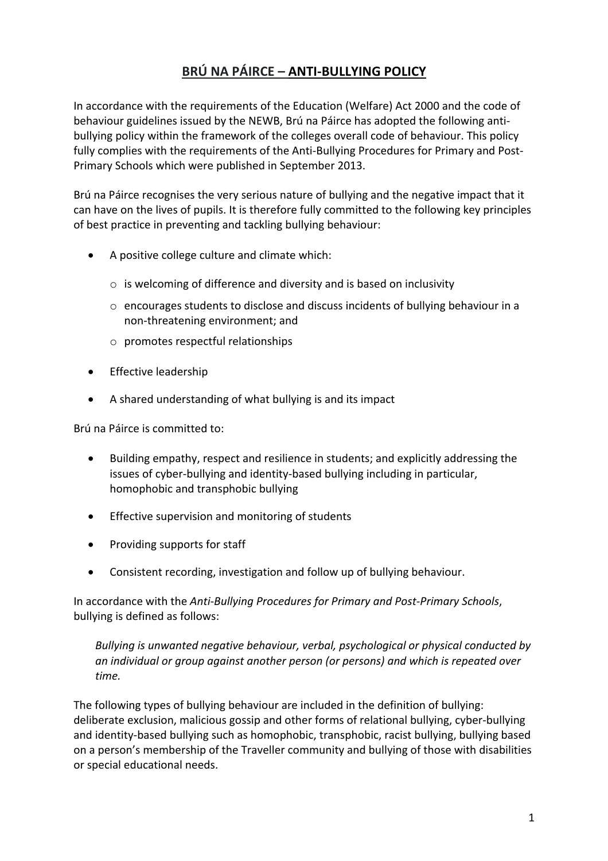# **BRÚ NA PÁIRCE – ANTI-BULLYING POLICY**

In accordance with the requirements of the Education (Welfare) Act 2000 and the code of behaviour guidelines issued by the NEWB, Brú na Páirce has adopted the following antibullying policy within the framework of the colleges overall code of behaviour. This policy fully complies with the requirements of the Anti-Bullying Procedures for Primary and Post-Primary Schools which were published in September 2013.

Brú na Páirce recognises the very serious nature of bullying and the negative impact that it can have on the lives of pupils. It is therefore fully committed to the following key principles of best practice in preventing and tackling bullying behaviour:

- A positive college culture and climate which:
	- o is welcoming of difference and diversity and is based on inclusivity
	- $\circ$  encourages students to disclose and discuss incidents of bullying behaviour in a non-threatening environment; and
	- o promotes respectful relationships
- Effective leadership
- A shared understanding of what bullying is and its impact

Brú na Páirce is committed to:

- Building empathy, respect and resilience in students; and explicitly addressing the issues of cyber-bullying and identity-based bullying including in particular, homophobic and transphobic bullying
- Effective supervision and monitoring of students
- Providing supports for staff
- Consistent recording, investigation and follow up of bullying behaviour.

In accordance with the *Anti-Bullying Procedures for Primary and Post-Primary Schools*, bullying is defined as follows:

*Bullying is unwanted negative behaviour, verbal, psychological or physical conducted by an individual or group against another person (or persons) and which is repeated over time.*

The following types of bullying behaviour are included in the definition of bullying: deliberate exclusion, malicious gossip and other forms of relational bullying, cyber-bullying and identity-based bullying such as homophobic, transphobic, racist bullying, bullying based on a person's membership of the Traveller community and bullying of those with disabilities or special educational needs.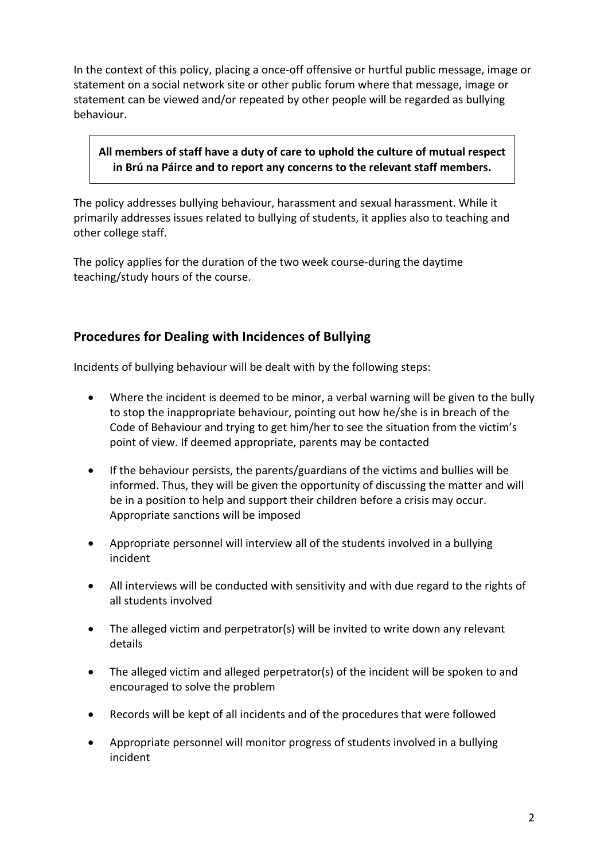In the context of this policy, placing a once-off offensive or hurtful public message, image or statement on a social network site or other public forum where that message, image or statement can be viewed and/or repeated by other people will be regarded as bullying behaviour.

### **All members of staff have a duty of care to uphold the culture of mutual respect in Brú na Páirce and to report any concerns to the relevant staff members.**

The policy addresses bullying behaviour, harassment and sexual harassment. While it primarily addresses issues related to bullying of students, it applies also to teaching and other college staff.

The policy applies for the duration of the two week course-during the daytime teaching/study hours of the course.

## **Procedures for Dealing with Incidences of Bullying**

Incidents of bullying behaviour will be dealt with by the following steps:

- Where the incident is deemed to be minor, a verbal warning will be given to the bully to stop the inappropriate behaviour, pointing out how he/she is in breach of the Code of Behaviour and trying to get him/her to see the situation from the victim's point of view. If deemed appropriate, parents may be contacted
- If the behaviour persists, the parents/guardians of the victims and bullies will be informed. Thus, they will be given the opportunity of discussing the matter and will be in a position to help and support their children before a crisis may occur. Appropriate sanctions will be imposed
- Appropriate personnel will interview all of the students involved in a bullying incident
- All interviews will be conducted with sensitivity and with due regard to the rights of all students involved
- The alleged victim and perpetrator(s) will be invited to write down any relevant details
- The alleged victim and alleged perpetrator(s) of the incident will be spoken to and encouraged to solve the problem
- Records will be kept of all incidents and of the procedures that were followed
- Appropriate personnel will monitor progress of students involved in a bullying incident